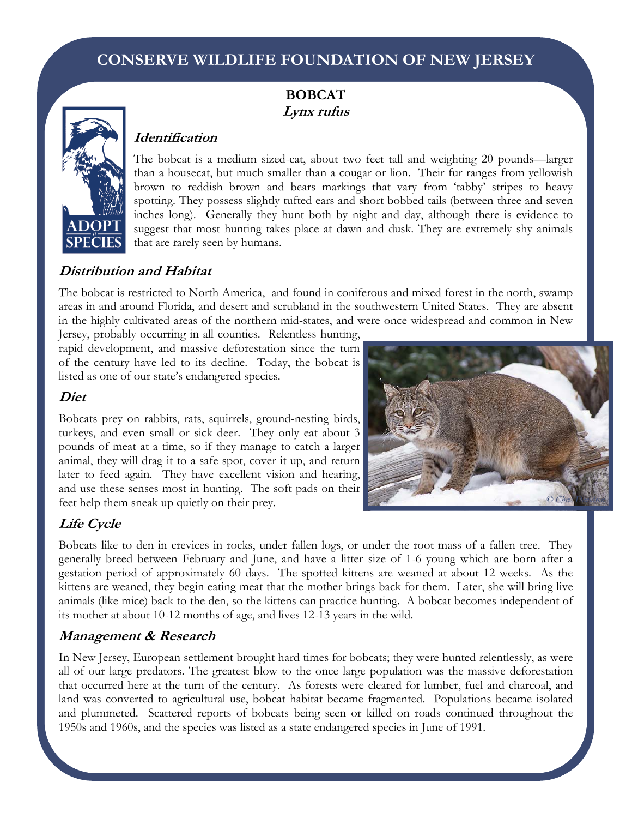# **CONSERVE WILDLIFE FOUNDATION OF NEW JERSEY**

## **BOBCAT Lynx rufus**



## **Identification**

The bobcat is a medium sized-cat, about two feet tall and weighting 20 pounds—larger than a housecat, but much smaller than a cougar or lion. Their fur ranges from yellowish brown to reddish brown and bears markings that vary from 'tabby' stripes to heavy spotting. They possess slightly tufted ears and short bobbed tails (between three and seven inches long). Generally they hunt both by night and day, although there is evidence to suggest that most hunting takes place at dawn and dusk. They are extremely shy animals that are rarely seen by humans.

#### **Distribution and Habitat**

The bobcat is restricted to North America, and found in coniferous and mixed forest in the north, swamp areas in and around Florida, and desert and scrubland in the southwestern United States. They are absent in the highly cultivated areas of the northern mid-states, and were once widespread and common in New Jersey, probably occurring in all counties. Relentless hunting,

rapid development, and massive deforestation since the turn of the century have led to its decline. Today, the bobcat is listed as one of our state's endangered species.

### **Diet**

Bobcats prey on rabbits, rats, squirrels, ground-nesting birds, turkeys, and even small or sick deer. They only eat about 3 pounds of meat at a time, so if they manage to catch a larger animal, they will drag it to a safe spot, cover it up, and return later to feed again. They have excellent vision and hearing, and use these senses most in hunting. The soft pads on their feet help them sneak up quietly on their prey.

# **Life Cycle**

Bobcats like to den in crevices in rocks, under fallen logs, or under the root mass of a fallen tree. They generally breed between February and June, and have a litter size of 1-6 young which are born after a gestation period of approximately 60 days. The spotted kittens are weaned at about 12 weeks. As the kittens are weaned, they begin eating meat that the mother brings back for them. Later, she will bring live animals (like mice) back to the den, so the kittens can practice hunting. A bobcat becomes independent of its mother at about 10-12 months of age, and lives 12-13 years in the wild.

#### **Management & Research**

In New Jersey, European settlement brought hard times for bobcats; they were hunted relentlessly, as were all of our large predators. The greatest blow to the once large population was the massive deforestation that occurred here at the turn of the century. As forests were cleared for lumber, fuel and charcoal, and land was converted to agricultural use, bobcat habitat became fragmented. Populations became isolated and plummeted. Scattered reports of bobcats being seen or killed on roads continued throughout the 1950s and 1960s, and the species was listed as a state endangered species in June of 1991.